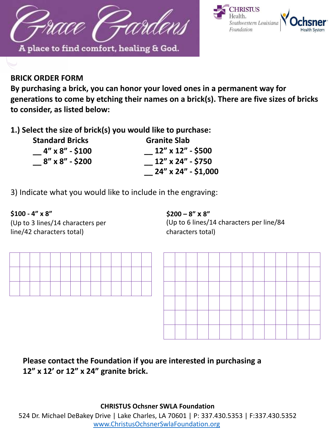



## **BRICK ORDER FORM**

**By purchasing a brick, you can honor your loved ones in a permanent way for generations to come by etching their names on a brick(s). There are five sizes of bricks to consider, as listed below:** 

**1.) Select the size of brick(s) you would like to purchase:**

| <b>Standard Bricks</b> | <b>Granite Slab</b> |
|------------------------|---------------------|
| $-4''$ x 8" - \$100    | 12" x 12" - \$500   |
| 8″ x 8″ - \$200        | 12" x 24" - \$750   |
|                        | 24" x 24" - \$1,000 |

3) Indicate what you would like to include in the engraving:

**\$100 - 4" x 8" \$200 – 8" x 8"** (Up to 3 lines/14 characters per line/42 characters total)

(Up to 6 lines/14 characters per line/84 characters total)





## **Please contact the Foundation if you are interested in purchasing a 12" x 12' or 12" x 24" granite brick.**

**CHRISTUS Ochsner SWLA Foundation**

524 Dr. Michael DeBakey Drive | Lake Charles, LA 70601 | P: 337.430.5353 | F:337.430.5352 [www.ChristusOchsnerSwlaFoundation.org](http://www.christusochsnerswlafoundation.org/)